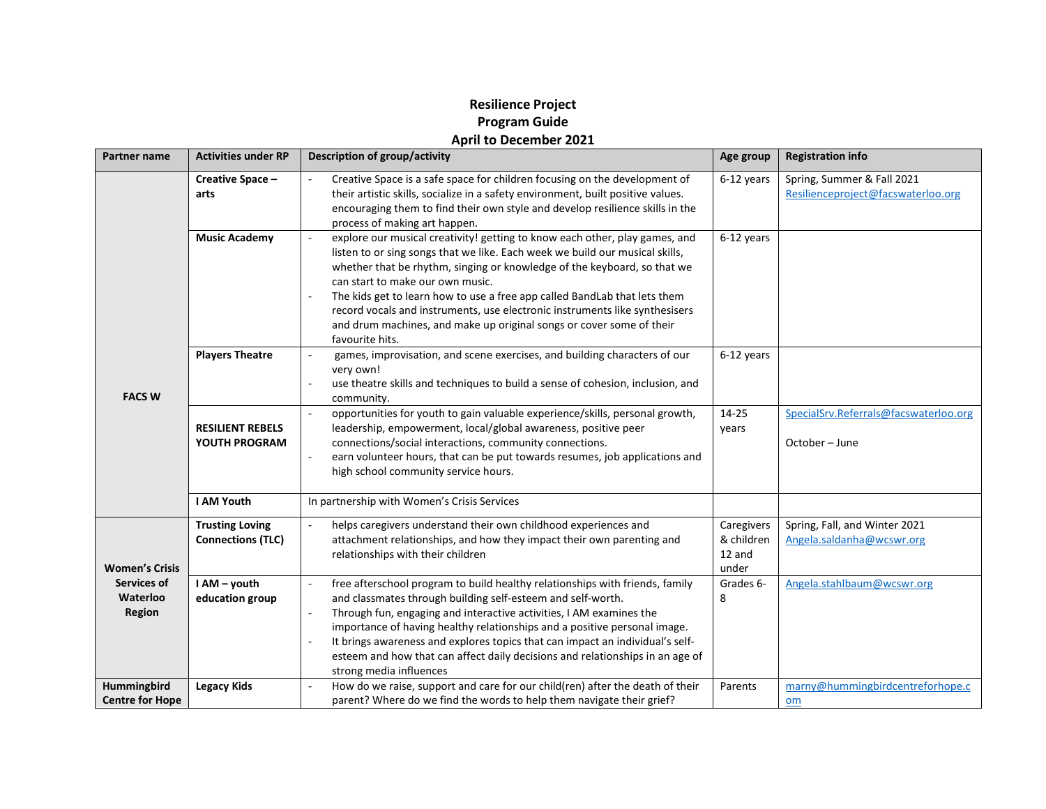## **Resilience Project Program Guide April to December 2021**

| <b>Partner name</b>                                               | <b>Activities under RP</b>                         | Description of group/activity                                                                                                                                                                                                                                                                                                                                                                                                                                                                                                                        | Age group                                   | <b>Registration info</b>                                         |
|-------------------------------------------------------------------|----------------------------------------------------|------------------------------------------------------------------------------------------------------------------------------------------------------------------------------------------------------------------------------------------------------------------------------------------------------------------------------------------------------------------------------------------------------------------------------------------------------------------------------------------------------------------------------------------------------|---------------------------------------------|------------------------------------------------------------------|
|                                                                   | Creative Space -<br>arts                           | Creative Space is a safe space for children focusing on the development of<br>their artistic skills, socialize in a safety environment, built positive values.<br>encouraging them to find their own style and develop resilience skills in the<br>process of making art happen.                                                                                                                                                                                                                                                                     | 6-12 years                                  | Spring, Summer & Fall 2021<br>Resilienceproject@facswaterloo.org |
| <b>FACS W</b>                                                     | <b>Music Academy</b>                               | explore our musical creativity! getting to know each other, play games, and<br>$\blacksquare$<br>listen to or sing songs that we like. Each week we build our musical skills,<br>whether that be rhythm, singing or knowledge of the keyboard, so that we<br>can start to make our own music.<br>The kids get to learn how to use a free app called BandLab that lets them<br>record vocals and instruments, use electronic instruments like synthesisers<br>and drum machines, and make up original songs or cover some of their<br>favourite hits. | 6-12 years                                  |                                                                  |
|                                                                   | <b>Players Theatre</b>                             | games, improvisation, and scene exercises, and building characters of our<br>$\overline{\phantom{a}}$<br>very own!<br>use theatre skills and techniques to build a sense of cohesion, inclusion, and<br>$\blacksquare$<br>community.                                                                                                                                                                                                                                                                                                                 | 6-12 years                                  |                                                                  |
|                                                                   | <b>RESILIENT REBELS</b><br>YOUTH PROGRAM           | opportunities for youth to gain valuable experience/skills, personal growth,<br>$\mathcal{L}_{\mathcal{A}}$<br>leadership, empowerment, local/global awareness, positive peer<br>connections/social interactions, community connections.<br>earn volunteer hours, that can be put towards resumes, job applications and<br>$\overline{\phantom{a}}$<br>high school community service hours.                                                                                                                                                          | 14-25<br>years                              | SpecialSrv.Referrals@facswaterloo.org<br>October - June          |
|                                                                   | I AM Youth                                         | In partnership with Women's Crisis Services                                                                                                                                                                                                                                                                                                                                                                                                                                                                                                          |                                             |                                                                  |
| <b>Women's Crisis</b><br>Services of<br>Waterloo<br><b>Region</b> | <b>Trusting Loving</b><br><b>Connections (TLC)</b> | helps caregivers understand their own childhood experiences and<br>$\mathcal{L}_{\mathcal{A}}$<br>attachment relationships, and how they impact their own parenting and<br>relationships with their children                                                                                                                                                                                                                                                                                                                                         | Caregivers<br>& children<br>12 and<br>under | Spring, Fall, and Winter 2021<br>Angela.saldanha@wcswr.org       |
|                                                                   | I AM - youth<br>education group                    | free afterschool program to build healthy relationships with friends, family<br>$\overline{\phantom{a}}$<br>and classmates through building self-esteem and self-worth.<br>Through fun, engaging and interactive activities, I AM examines the<br>$\blacksquare$<br>importance of having healthy relationships and a positive personal image.<br>It brings awareness and explores topics that can impact an individual's self-<br>esteem and how that can affect daily decisions and relationships in an age of<br>strong media influences           | Grades 6-<br>8                              | Angela.stahlbaum@wcswr.org                                       |
| Hummingbird<br><b>Centre for Hope</b>                             | <b>Legacy Kids</b>                                 | How do we raise, support and care for our child(ren) after the death of their<br>$\sim$<br>parent? Where do we find the words to help them navigate their grief?                                                                                                                                                                                                                                                                                                                                                                                     | Parents                                     | marny@hummingbirdcentreforhope.c<br>$om$                         |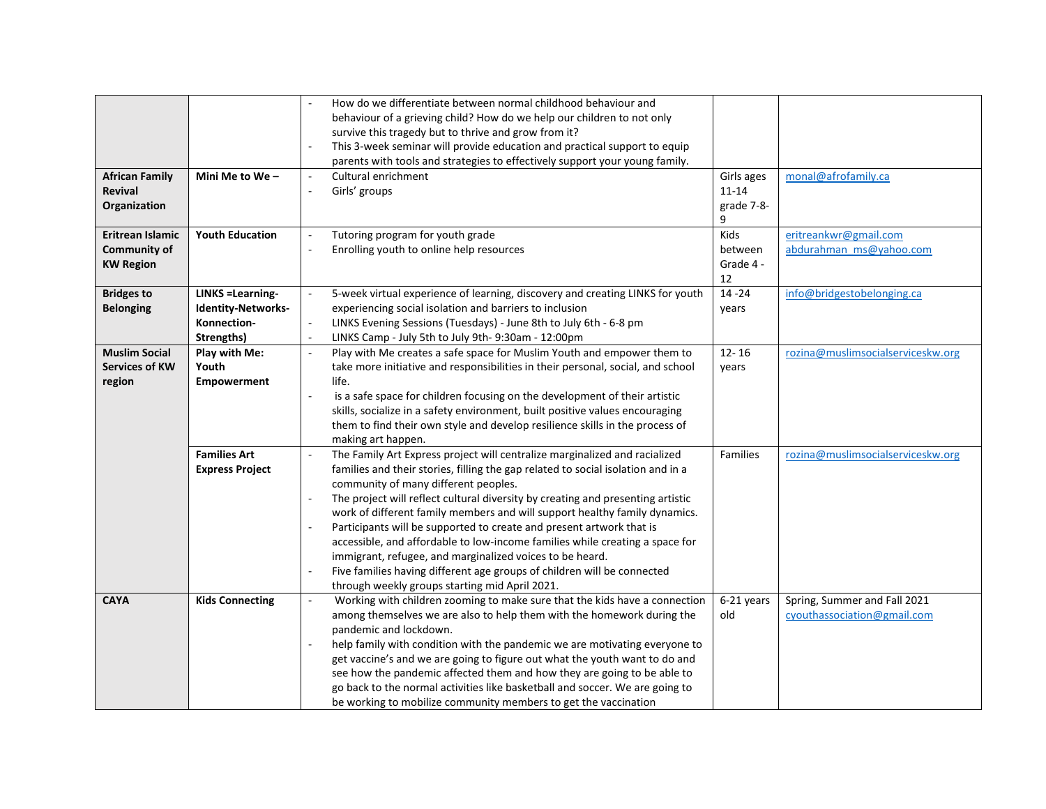|                                                         |                                                                                    | How do we differentiate between normal childhood behaviour and<br>behaviour of a grieving child? How do we help our children to not only<br>survive this tragedy but to thrive and grow from it?                                                                                                                                                                                                                                                                                                                                                                                                                                                                                                                                                     |                                            |                                                             |
|---------------------------------------------------------|------------------------------------------------------------------------------------|------------------------------------------------------------------------------------------------------------------------------------------------------------------------------------------------------------------------------------------------------------------------------------------------------------------------------------------------------------------------------------------------------------------------------------------------------------------------------------------------------------------------------------------------------------------------------------------------------------------------------------------------------------------------------------------------------------------------------------------------------|--------------------------------------------|-------------------------------------------------------------|
|                                                         |                                                                                    | This 3-week seminar will provide education and practical support to equip<br>parents with tools and strategies to effectively support your young family.                                                                                                                                                                                                                                                                                                                                                                                                                                                                                                                                                                                             |                                            |                                                             |
| <b>African Family</b><br><b>Revival</b><br>Organization | Mini Me to We-                                                                     | Cultural enrichment<br>$\overline{\phantom{a}}$<br>Girls' groups<br>$\sim$                                                                                                                                                                                                                                                                                                                                                                                                                                                                                                                                                                                                                                                                           | Girls ages<br>$11 - 14$<br>grade 7-8-<br>9 | monal@afrofamily.ca                                         |
| Eritrean Islamic<br>Community of<br><b>KW Region</b>    | <b>Youth Education</b>                                                             | Tutoring program for youth grade<br>$\mathcal{L}_{\mathcal{A}}$<br>Enrolling youth to online help resources                                                                                                                                                                                                                                                                                                                                                                                                                                                                                                                                                                                                                                          | Kids<br>between<br>Grade 4 -<br>12         | eritreankwr@gmail.com<br>abdurahman ms@yahoo.com            |
| <b>Bridges to</b><br><b>Belonging</b>                   | <b>LINKS = Learning-</b><br><b>Identity-Networks-</b><br>Konnection-<br>Strengths) | 5-week virtual experience of learning, discovery and creating LINKS for youth<br>$\overline{\phantom{a}}$<br>experiencing social isolation and barriers to inclusion<br>LINKS Evening Sessions (Tuesdays) - June 8th to July 6th - 6-8 pm<br>$\blacksquare$<br>LINKS Camp - July 5th to July 9th-9:30am - 12:00pm                                                                                                                                                                                                                                                                                                                                                                                                                                    | $14 - 24$<br>years                         | info@bridgestobelonging.ca                                  |
| <b>Muslim Social</b><br><b>Services of KW</b><br>region | Play with Me:<br>Youth<br><b>Empowerment</b>                                       | Play with Me creates a safe space for Muslim Youth and empower them to<br>$\mathbf{r}$<br>take more initiative and responsibilities in their personal, social, and school<br>life.<br>is a safe space for children focusing on the development of their artistic<br>$\overline{a}$<br>skills, socialize in a safety environment, built positive values encouraging<br>them to find their own style and develop resilience skills in the process of<br>making art happen.                                                                                                                                                                                                                                                                             | $12 - 16$<br>years                         | rozina@muslimsocialserviceskw.org                           |
|                                                         | <b>Families Art</b><br><b>Express Project</b>                                      | The Family Art Express project will centralize marginalized and racialized<br>families and their stories, filling the gap related to social isolation and in a<br>community of many different peoples.<br>The project will reflect cultural diversity by creating and presenting artistic<br>$\overline{\phantom{a}}$<br>work of different family members and will support healthy family dynamics.<br>Participants will be supported to create and present artwork that is<br>accessible, and affordable to low-income families while creating a space for<br>immigrant, refugee, and marginalized voices to be heard.<br>Five families having different age groups of children will be connected<br>through weekly groups starting mid April 2021. | Families                                   | rozina@muslimsocialserviceskw.org                           |
| <b>CAYA</b>                                             | <b>Kids Connecting</b>                                                             | Working with children zooming to make sure that the kids have a connection<br>among themselves we are also to help them with the homework during the<br>pandemic and lockdown.<br>help family with condition with the pandemic we are motivating everyone to<br>$\sim$<br>get vaccine's and we are going to figure out what the youth want to do and<br>see how the pandemic affected them and how they are going to be able to<br>go back to the normal activities like basketball and soccer. We are going to<br>be working to mobilize community members to get the vaccination                                                                                                                                                                   | 6-21 years<br>old                          | Spring, Summer and Fall 2021<br>cyouthassociation@gmail.com |